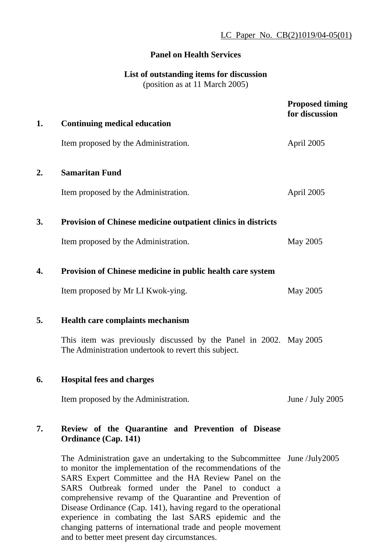## **Panel on Health Services**

# **List of outstanding items for discussion**

(position as at 11 March 2005)

|    |                                                                                                                                                                                                                                                                                                                                                                                                                                              | <b>Proposed timing</b><br>for discussion |
|----|----------------------------------------------------------------------------------------------------------------------------------------------------------------------------------------------------------------------------------------------------------------------------------------------------------------------------------------------------------------------------------------------------------------------------------------------|------------------------------------------|
| 1. | <b>Continuing medical education</b>                                                                                                                                                                                                                                                                                                                                                                                                          |                                          |
|    | Item proposed by the Administration.                                                                                                                                                                                                                                                                                                                                                                                                         | April 2005                               |
| 2. | <b>Samaritan Fund</b>                                                                                                                                                                                                                                                                                                                                                                                                                        |                                          |
|    | Item proposed by the Administration.                                                                                                                                                                                                                                                                                                                                                                                                         | April 2005                               |
| 3. | <b>Provision of Chinese medicine outpatient clinics in districts</b>                                                                                                                                                                                                                                                                                                                                                                         |                                          |
|    | Item proposed by the Administration.                                                                                                                                                                                                                                                                                                                                                                                                         | May 2005                                 |
| 4. | Provision of Chinese medicine in public health care system                                                                                                                                                                                                                                                                                                                                                                                   |                                          |
|    | Item proposed by Mr LI Kwok-ying.                                                                                                                                                                                                                                                                                                                                                                                                            | May 2005                                 |
| 5. | Health care complaints mechanism                                                                                                                                                                                                                                                                                                                                                                                                             |                                          |
|    | This item was previously discussed by the Panel in 2002. May 2005<br>The Administration undertook to revert this subject.                                                                                                                                                                                                                                                                                                                    |                                          |
| 6. | <b>Hospital fees and charges</b>                                                                                                                                                                                                                                                                                                                                                                                                             |                                          |
|    | Item proposed by the Administration.                                                                                                                                                                                                                                                                                                                                                                                                         | June / July $2005$                       |
| 7. | Review of the Quarantine and Prevention of Disease<br><b>Ordinance (Cap. 141)</b>                                                                                                                                                                                                                                                                                                                                                            |                                          |
|    | The Administration gave an undertaking to the Subcommittee June/July2005<br>to monitor the implementation of the recommendations of the<br>SARS Expert Committee and the HA Review Panel on the<br>SARS Outbreak formed under the Panel to conduct a<br>comprehensive revamp of the Quarantine and Prevention of<br>Disease Ordinance (Cap. 141), having regard to the operational<br>experience in combating the last SARS epidemic and the |                                          |

changing patterns of international trade and people movement and to better meet present day circumstances.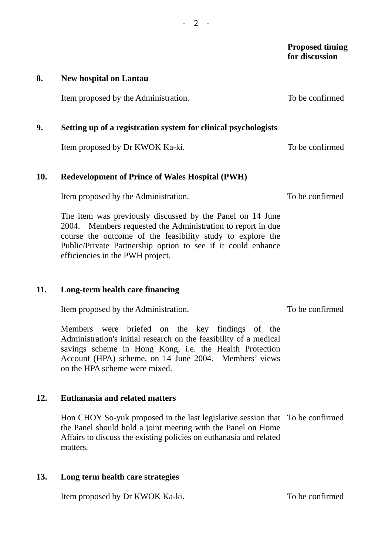|     |                                                                                                                                                                                                                                                                                            | <b>Proposed timing</b><br>for discussion |
|-----|--------------------------------------------------------------------------------------------------------------------------------------------------------------------------------------------------------------------------------------------------------------------------------------------|------------------------------------------|
| 8.  | <b>New hospital on Lantau</b>                                                                                                                                                                                                                                                              |                                          |
|     | Item proposed by the Administration.                                                                                                                                                                                                                                                       | To be confirmed                          |
| 9.  | Setting up of a registration system for clinical psychologists                                                                                                                                                                                                                             |                                          |
|     | Item proposed by Dr KWOK Ka-ki.                                                                                                                                                                                                                                                            | To be confirmed                          |
| 10. | <b>Redevelopment of Prince of Wales Hospital (PWH)</b>                                                                                                                                                                                                                                     |                                          |
|     | Item proposed by the Administration.                                                                                                                                                                                                                                                       | To be confirmed                          |
|     | The item was previously discussed by the Panel on 14 June<br>2004. Members requested the Administration to report in due<br>course the outcome of the feasibility study to explore the<br>Public/Private Partnership option to see if it could enhance<br>efficiencies in the PWH project. |                                          |

#### **11. Long-term health care financing**

Item proposed by the Administration.

To be confirmed

Members were briefed on the key findings of the Administration's initial research on the feasibility of a medical savings scheme in Hong Kong, i.e. the Health Protection Account (HPA) scheme, on 14 June 2004. Members' views on the HPA scheme were mixed.

# **12. Euthanasia and related matters**

Hon CHOY So-yuk proposed in the last legislative session that To be confirmed the Panel should hold a joint meeting with the Panel on Home Affairs to discuss the existing policies on euthanasia and related matters.

### **13. Long term health care strategies**

Item proposed by Dr KWOK Ka-ki. To be confirmed